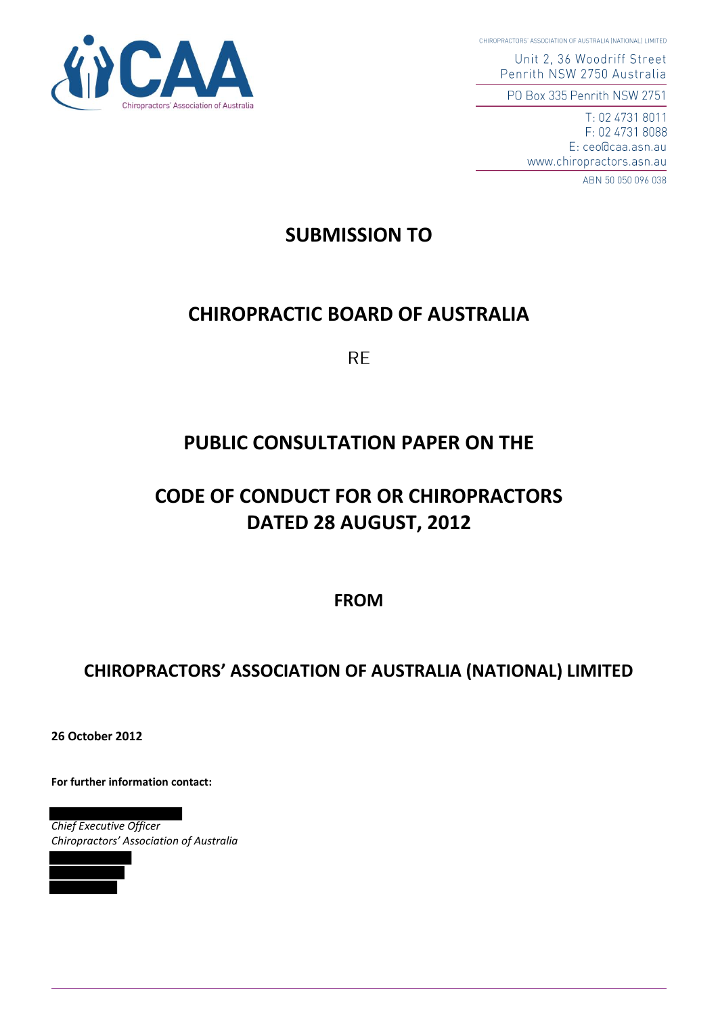ractors' Association of Australia

CHIROPRACTORS' ASSOCIATION OF AUSTRALIA (NATIONAL) LIMITED

Unit 2, 36 Woodriff Street Penrith NSW 2750 Australia

PO Box 335 Penrith NSW 2751

T: 02 4731 8011 F: 02 4731 8088 E: ceo@caa.asn.au www.chiropractors.asn.au

ABN 50 050 096 038

## **SUBMISSION TO**

## **CHIROPRACTIC BOARD OF AUSTRALIA**

**RE** 

# **PUBLIC CONSULTATION PAPER ON THE**

# **CODE OF CONDUCT FOR OR CHIROPRACTORS DATED 28 AUGUST, 2012**

**FROM**

## **CHIROPRACTORS' ASSOCIATION OF AUSTRALIA (NATIONAL) LIMITED**

**26 October 2012** 

**For further information contact:** 

*Chief Executive Officer Chiropractors' Association of Australia*

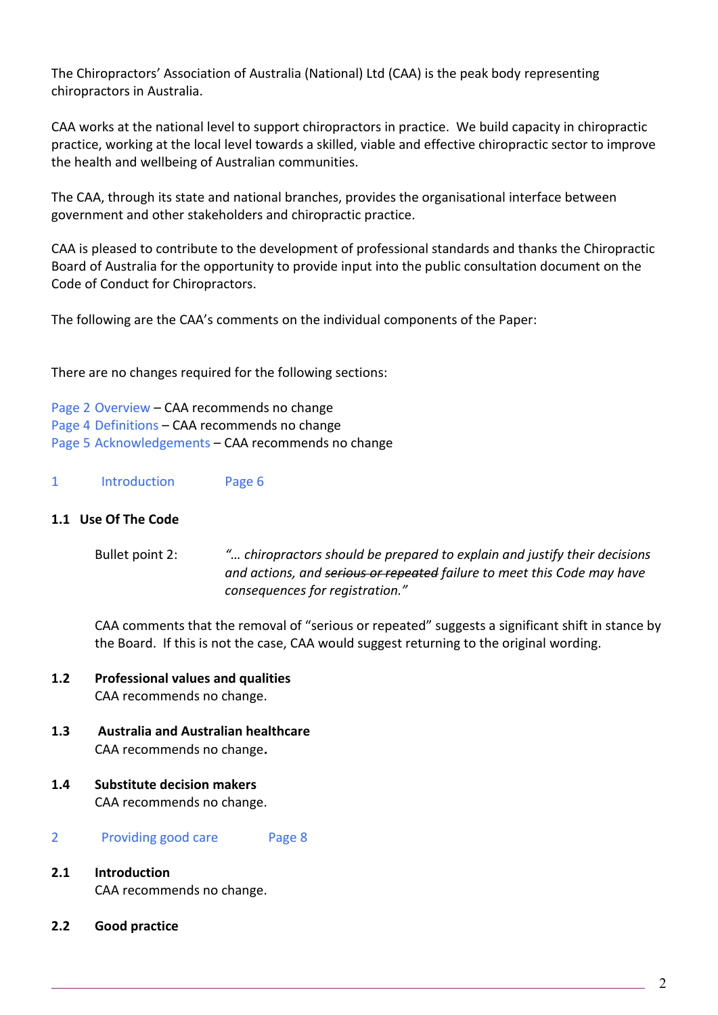The Chiropractors' Association of Australia (National) Ltd (CAA) is the peak body representing chiropractors in Australia.

CAA works at the national level to support chiropractors in practice. We build capacity in chiropractic practice, working at the local level towards a skilled, viable and effective chiropractic sector to improve the health and wellbeing of Australian communities.

The CAA, through its state and national branches, provides the organisational interface between government and other stakeholders and chiropractic practice.

CAA is pleased to contribute to the development of professional standards and thanks the Chiropractic Board of Australia for the opportunity to provide input into the public consultation document on the Code of Conduct for Chiropractors.

The following are the CAA's comments on the individual components of the Paper:

There are no changes required for the following sections:

Page 2 Overview – CAA recommends no change Page 4 Definitions – CAA recommends no change Page 5 Acknowledgements – CAA recommends no change

1 Introduction Page 6

### **1.1 Use Of The Code**

 Bullet point 2: *"… chiropractors should be prepared to explain and justify their decisions and actions, and serious or repeated failure to meet this Code may have consequences for registration."*

 CAA comments that the removal of "serious or repeated" suggests a significant shift in stance by the Board. If this is not the case, CAA would suggest returning to the original wording.

## **1.2 Professional values and qualities**  CAA recommends no change.

- **1.3 Australia and Australian healthcare**  CAA recommends no change**.**
- **1.4 Substitute decision makers**  CAA recommends no change.

2 Providing good care Page 8

- **2.1 Introduction**  CAA recommends no change.
- **2.2 Good practice**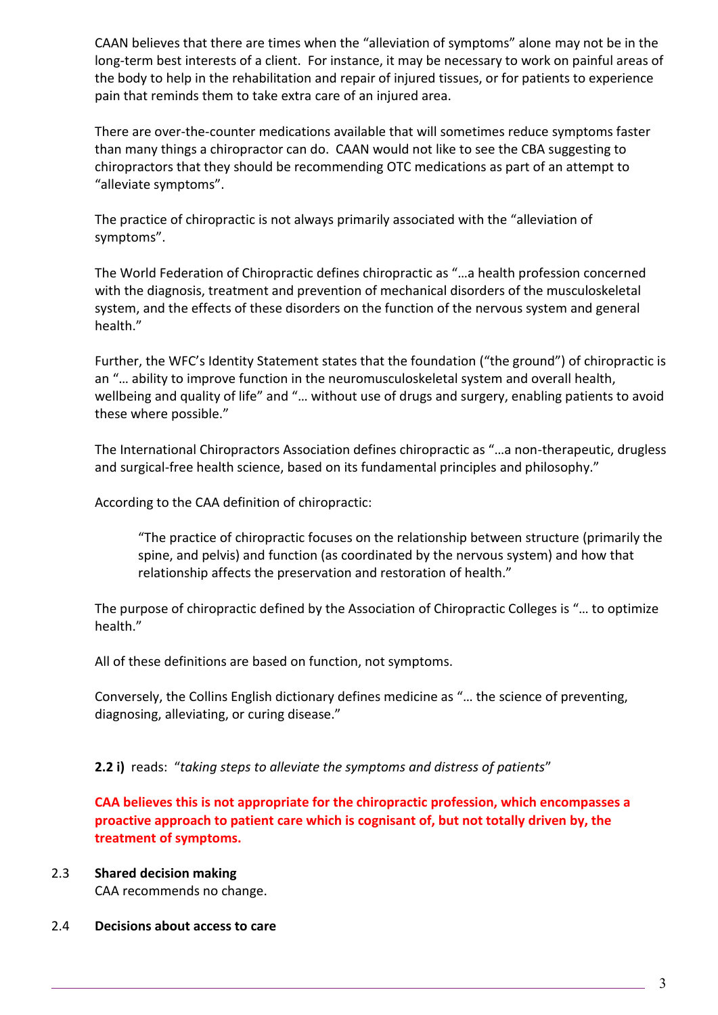CAAN believes that there are times when the "alleviation of symptoms" alone may not be in the long-term best interests of a client. For instance, it may be necessary to work on painful areas of the body to help in the rehabilitation and repair of injured tissues, or for patients to experience pain that reminds them to take extra care of an injured area.

 There are over-the-counter medications available that will sometimes reduce symptoms faster than many things a chiropractor can do. CAAN would not like to see the CBA suggesting to chiropractors that they should be recommending OTC medications as part of an attempt to "alleviate symptoms".

The practice of chiropractic is not always primarily associated with the "alleviation of symptoms".

The World Federation of Chiropractic defines chiropractic as "…a health profession concerned with the diagnosis, treatment and prevention of mechanical disorders of the musculoskeletal system, and the effects of these disorders on the function of the nervous system and general health."

Further, the WFC's Identity Statement states that the foundation ("the ground") of chiropractic is an "… ability to improve function in the neuromusculoskeletal system and overall health, wellbeing and quality of life" and "… without use of drugs and surgery, enabling patients to avoid these where possible."

The International Chiropractors Association defines chiropractic as "…a non-therapeutic, drugless and surgical-free health science, based on its fundamental principles and philosophy."

According to the CAA definition of chiropractic:

"The practice of chiropractic focuses on the relationship between structure (primarily the spine, and pelvis) and function (as coordinated by the nervous system) and how that relationship affects the preservation and restoration of health."

 The purpose of chiropractic defined by the Association of Chiropractic Colleges is "… to optimize health."

All of these definitions are based on function, not symptoms.

Conversely, the Collins English dictionary defines medicine as "… the science of preventing, diagnosing, alleviating, or curing disease."

**2.2 i)** reads: "*taking steps to alleviate the symptoms and distress of patients*"

**CAA believes this is not appropriate for the chiropractic profession, which encompasses a proactive approach to patient care which is cognisant of, but not totally driven by, the treatment of symptoms.** 

- 2.3 **Shared decision making** CAA recommends no change.
- 2.4 **Decisions about access to care**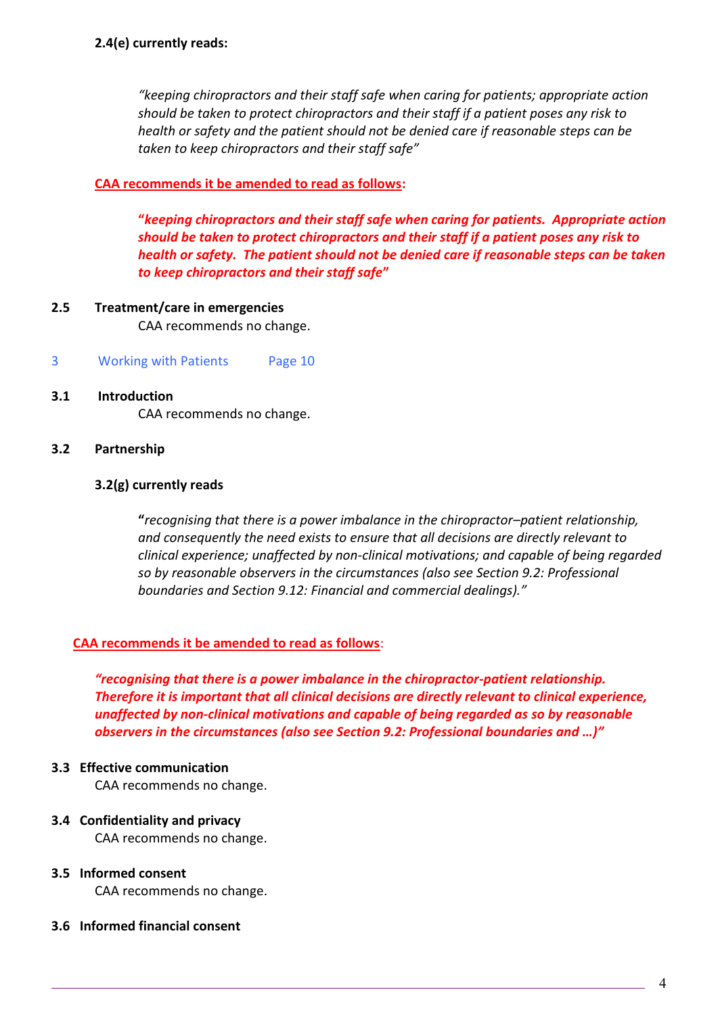*"keeping chiropractors and their staff safe when caring for patients; appropriate action should be taken to protect chiropractors and their staff if a patient poses any risk to health or safety and the patient should not be denied care if reasonable steps can be taken to keep chiropractors and their staff safe"*

## **CAA recommends it be amended to read as follows:**

**"***keeping chiropractors and their staff safe when caring for patients. Appropriate action should be taken to protect chiropractors and their staff if a patient poses any risk to health or safety. The patient should not be denied care if reasonable steps can be taken to keep chiropractors and their staff safe***"**

- **2.5 Treatment/care in emergencies** CAA recommends no change.
- 3 Working with Patients Page 10
- **3.1 Introduction**

CAA recommends no change.

## **3.2 Partnership**

## **3.2(g) currently reads**

 **"***recognising that there is a power imbalance in the chiropractor–patient relationship, and consequently the need exists to ensure that all decisions are directly relevant to clinical experience; unaffected by non-clinical motivations; and capable of being regarded so by reasonable observers in the circumstances (also see Section 9.2: Professional boundaries and Section 9.12: Financial and commercial dealings)."*

## **CAA recommends it be amended to read as follows**:

*"recognising that there is a power imbalance in the chiropractor-patient relationship. Therefore it is important that all clinical decisions are directly relevant to clinical experience, unaffected by non-clinical motivations and capable of being regarded as so by reasonable observers in the circumstances (also see Section 9.2: Professional boundaries and …)"*

### **3.3 Effective communication**

CAA recommends no change.

## **3.4 Confidentiality and privacy**

CAA recommends no change.

## **3.5 Informed consent**

CAA recommends no change.

### **3.6 Informed financial consent**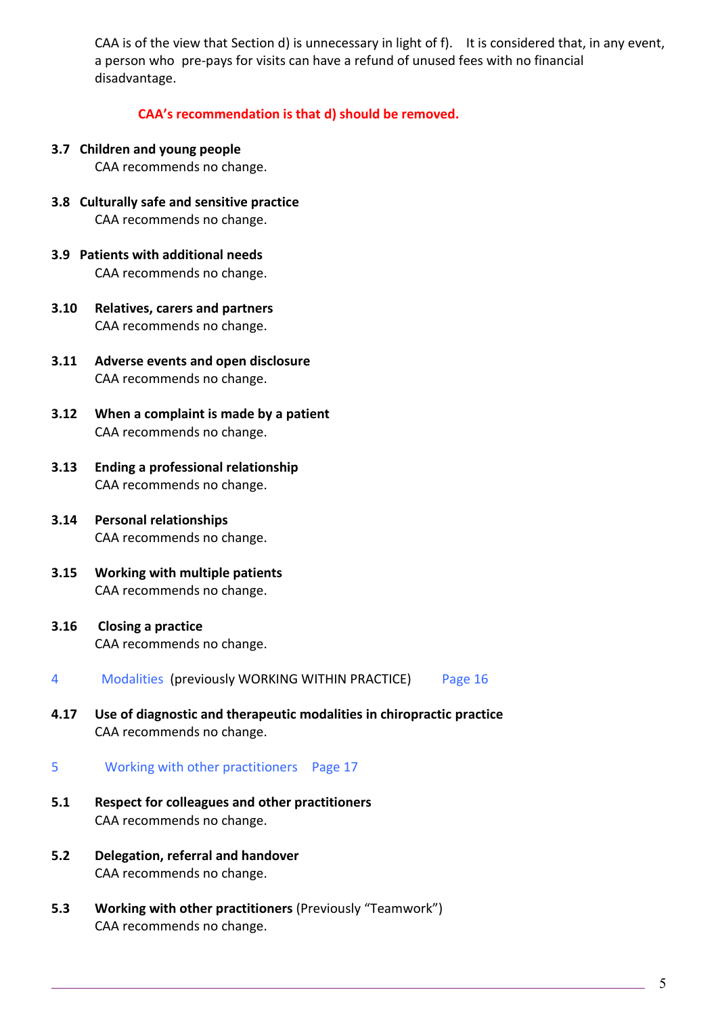CAA is of the view that Section d) is unnecessary in light of f). It is considered that, in any event, a person who pre-pays for visits can have a refund of unused fees with no financial disadvantage.

**CAA's recommendation is that d) should be removed.** 

**3.7 Children and young people** 

CAA recommends no change.

- **3.8 Culturally safe and sensitive practice**  CAA recommends no change.
- **3.9 Patients with additional needs**  CAA recommends no change.
- **3.10 Relatives, carers and partners**  CAA recommends no change.
- **3.11 Adverse events and open disclosure**  CAA recommends no change.
- **3.12 When a complaint is made by a patient**  CAA recommends no change.
- **3.13 Ending a professional relationship**  CAA recommends no change.
- **3.14 Personal relationships**  CAA recommends no change.
- **3.15 Working with multiple patients**  CAA recommends no change.
- **3.16 Closing a practice**  CAA recommends no change.
- 4 Modalities (previously WORKING WITHIN PRACTICE) Page 16
- **4.17 Use of diagnostic and therapeutic modalities in chiropractic practice**  CAA recommends no change.
- 5 Working with other practitioners Page 17
- **5.1 Respect for colleagues and other practitioners**  CAA recommends no change.
- **5.2 Delegation, referral and handover**  CAA recommends no change.
- **5.3 Working with other practitioners** (Previously "Teamwork") CAA recommends no change.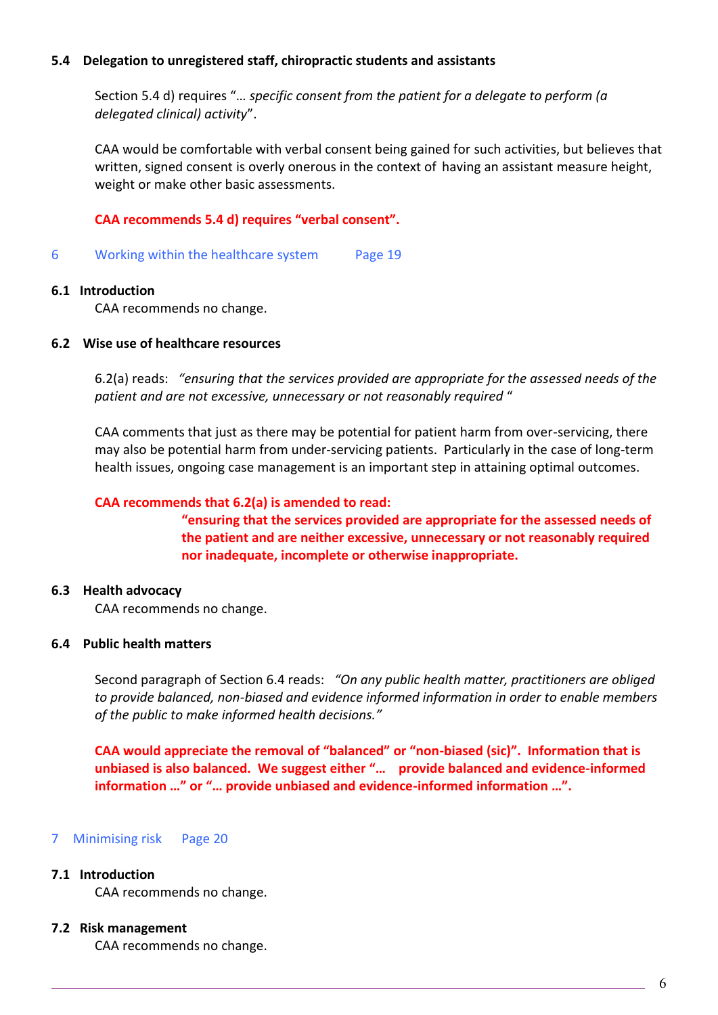### **5.4 Delegation to unregistered staff, chiropractic students and assistants**

Section 5.4 d) requires "… *specific consent from the patient for a delegate to perform (a delegated clinical) activity*".

 CAA would be comfortable with verbal consent being gained for such activities, but believes that written, signed consent is overly onerous in the context of having an assistant measure height, weight or make other basic assessments.

## **CAA recommends 5.4 d) requires "verbal consent".**

6 Working within the healthcare system Page 19

### **6.1 Introduction**

CAA recommends no change.

### **6.2 Wise use of healthcare resources**

 6.2(a) reads: *"ensuring that the services provided are appropriate for the assessed needs of the patient and are not excessive, unnecessary or not reasonably required* "

 CAA comments that just as there may be potential for patient harm from over-servicing, there may also be potential harm from under-servicing patients. Particularly in the case of long-term health issues, ongoing case management is an important step in attaining optimal outcomes.

## **CAA recommends that 6.2(a) is amended to read:**

**"ensuring that the services provided are appropriate for the assessed needs of the patient and are neither excessive, unnecessary or not reasonably required nor inadequate, incomplete or otherwise inappropriate.** 

## **6.3 Health advocacy**

CAA recommends no change.

### **6.4 Public health matters**

 Second paragraph of Section 6.4 reads: *"On any public health matter, practitioners are obliged to provide balanced, non-biased and evidence informed information in order to enable members of the public to make informed health decisions."*

**CAA would appreciate the removal of "balanced" or "non-biased (sic)". Information that is unbiased is also balanced. We suggest either "… provide balanced and evidence-informed information …" or "… provide unbiased and evidence-informed information …".**

## 7 Minimising risk Page 20

### **7.1 Introduction**

CAA recommends no change.

### **7.2 Risk management**

CAA recommends no change.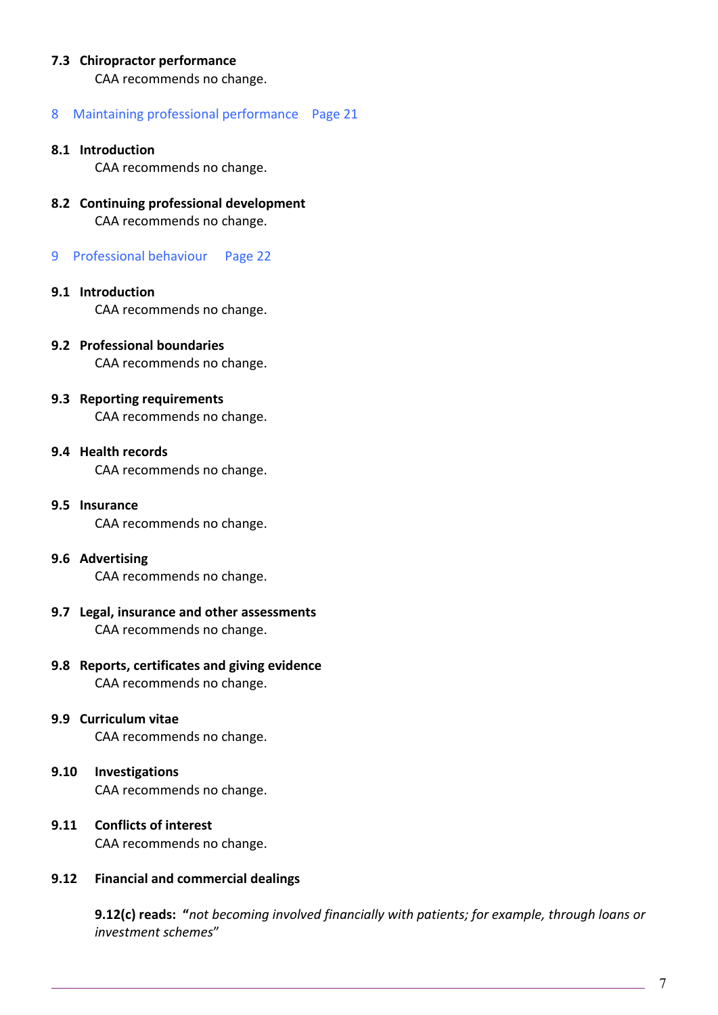## **7.3 Chiropractor performance**

CAA recommends no change.

#### 8 Maintaining professional performance Page 21

#### **8.1 Introduction**

CAA recommends no change.

- **8.2 Continuing professional development**  CAA recommends no change.
- 9 Professional behaviour Page 22

#### **9.1 Introduction**

CAA recommends no change.

**9.2 Professional boundaries**  CAA recommends no change.

# **9.3 Reporting requirements**

CAA recommends no change.

## **9.4 Health records**

CAA recommends no change.

- **9.5 Insurance**  CAA recommends no change.
- **9.6 Advertising**  CAA recommends no change.
- **9.7 Legal, insurance and other assessments**  CAA recommends no change.
- **9.8 Reports, certificates and giving evidence**  CAA recommends no change.
- **9.9 Curriculum vitae**

CAA recommends no change.

- **9.10 Investigations**  CAA recommends no change.
- **9.11 Conflicts of interest**  CAA recommends no change.

### **9.12 Financial and commercial dealings**

**9.12(c) reads: "***not becoming involved financially with patients; for example, through loans or investment schemes*"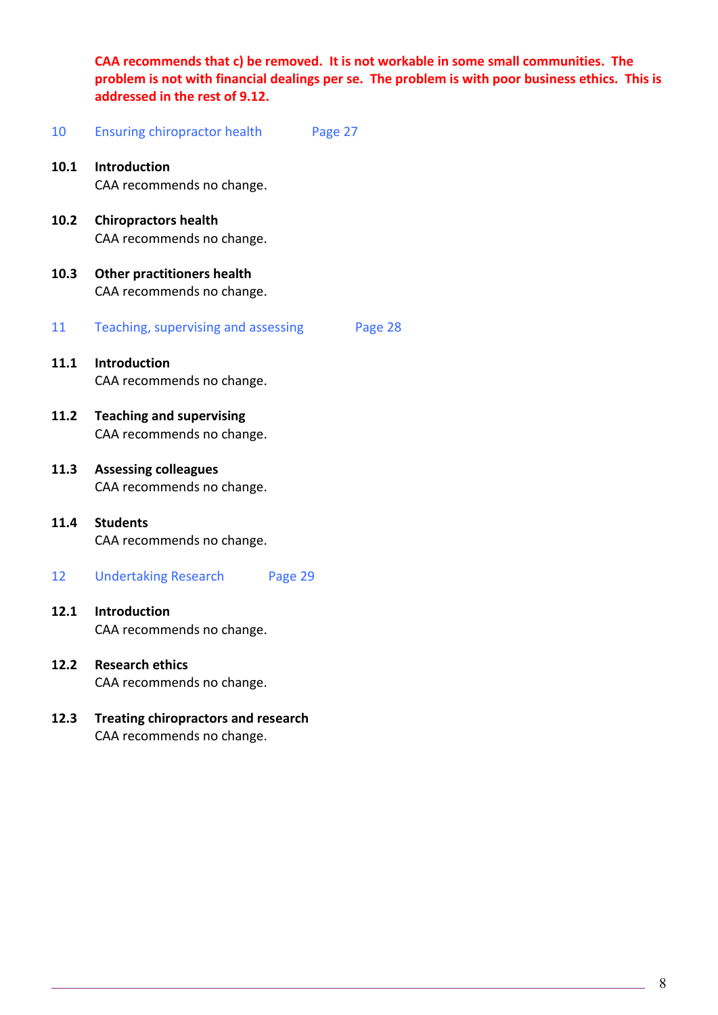**CAA recommends that c) be removed. It is not workable in some small communities. The problem is not with financial dealings per se. The problem is with poor business ethics. This is addressed in the rest of 9.12.** 

- 10 Ensuring chiropractor health Page 27
- **10.1 Introduction**  CAA recommends no change.
- **10.2 Chiropractors health**  CAA recommends no change.
- **10.3 Other practitioners health**  CAA recommends no change.
- 11 Teaching, supervising and assessing Page 28
- **11.1 Introduction**  CAA recommends no change.
- **11.2 Teaching and supervising**  CAA recommends no change.
- **11.3 Assessing colleagues**  CAA recommends no change.
- **11.4 Students**  CAA recommends no change.
- 12 Undertaking Research Page 29
- **12.1 Introduction**  CAA recommends no change.
- **12.2 Research ethics**  CAA recommends no change.
- **12.3 Treating chiropractors and research**  CAA recommends no change.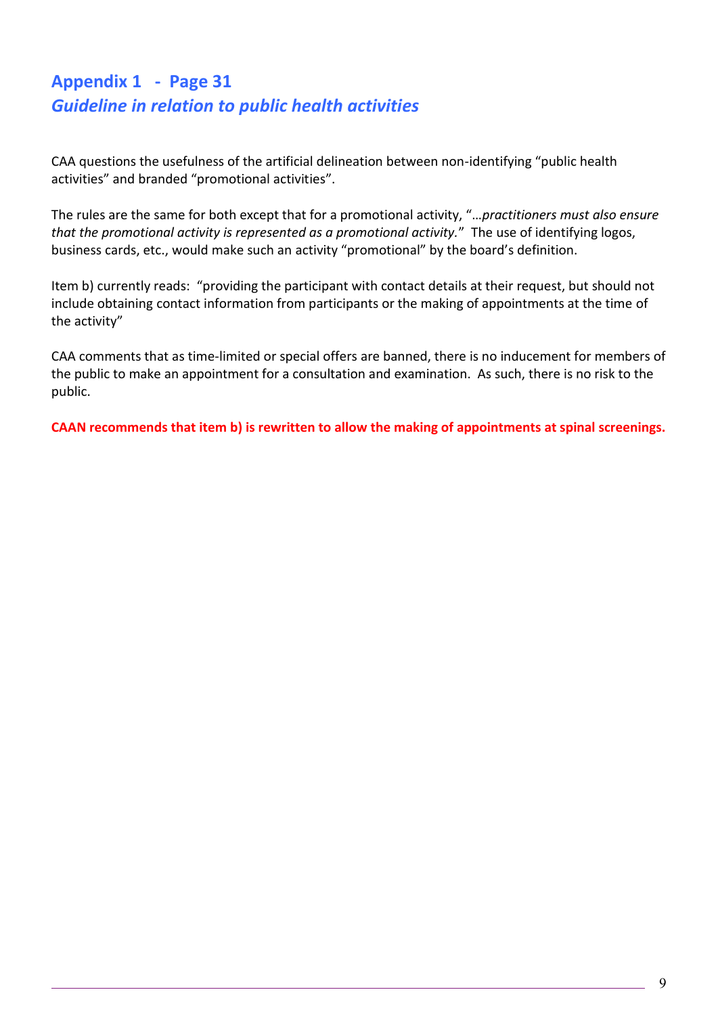## **Appendix 1 - Page 31** *Guideline in relation to public health activities*

CAA questions the usefulness of the artificial delineation between non-identifying "public health activities" and branded "promotional activities".

The rules are the same for both except that for a promotional activity, "…*practitioners must also ensure that the promotional activity is represented as a promotional activity.*" The use of identifying logos, business cards, etc., would make such an activity "promotional" by the board's definition.

Item b) currently reads: "providing the participant with contact details at their request, but should not include obtaining contact information from participants or the making of appointments at the time of the activity"

CAA comments that as time-limited or special offers are banned, there is no inducement for members of the public to make an appointment for a consultation and examination. As such, there is no risk to the public.

**CAAN recommends that item b) is rewritten to allow the making of appointments at spinal screenings.**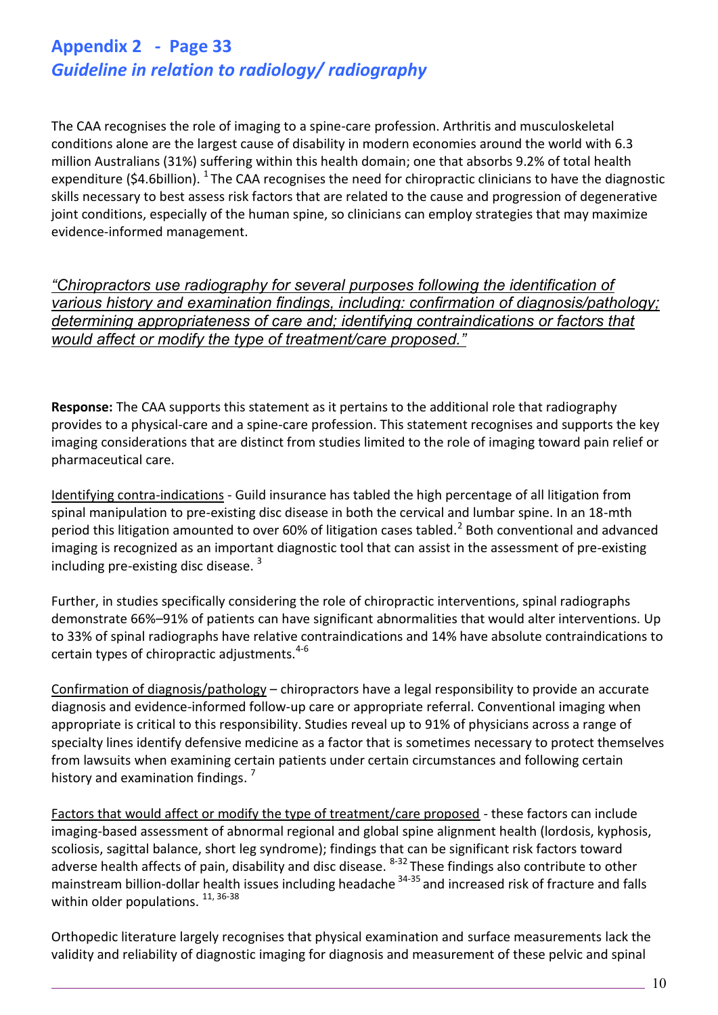## **Appendix 2 - Page 33** *Guideline in relation to radiology/ radiography*

The CAA recognises the role of imaging to a spine-care profession. Arthritis and musculoskeletal conditions alone are the largest cause of disability in modern economies around the world with 6.3 million Australians (31%) suffering within this health domain; one that absorbs 9.2% of total health expenditure (\$4.6billion).  $^{1}$  The CAA recognises the need for chiropractic clinicians to have the diagnostic skills necessary to best assess risk factors that are related to the cause and progression of degenerative joint conditions, especially of the human spine, so clinicians can employ strategies that may maximize evidence-informed management.

*"Chiropractors use radiography for several purposes following the identification of various history and examination findings, including: confirmation of diagnosis/pathology; determining appropriateness of care and; identifying contraindications or factors that would affect or modify the type of treatment/care proposed."*

**Response:** The CAA supports this statement as it pertains to the additional role that radiography provides to a physical-care and a spine-care profession. This statement recognises and supports the key imaging considerations that are distinct from studies limited to the role of imaging toward pain relief or pharmaceutical care.

Identifying contra-indications - Guild insurance has tabled the high percentage of all litigation from spinal manipulation to pre-existing disc disease in both the cervical and lumbar spine. In an 18-mth period this litigation amounted to over 60% of litigation cases tabled.<sup>2</sup> Both conventional and advanced imaging is recognized as an important diagnostic tool that can assist in the assessment of pre-existing including pre-existing disc disease.  $3$ 

Further, in studies specifically considering the role of chiropractic interventions, spinal radiographs demonstrate 66%–91% of patients can have significant abnormalities that would alter interventions. Up to 33% of spinal radiographs have relative contraindications and 14% have absolute contraindications to certain types of chiropractic adjustments.<sup>4-6</sup>

Confirmation of diagnosis/pathology – chiropractors have a legal responsibility to provide an accurate diagnosis and evidence-informed follow-up care or appropriate referral. Conventional imaging when appropriate is critical to this responsibility. Studies reveal up to 91% of physicians across a range of specialty lines identify defensive medicine as a factor that is sometimes necessary to protect themselves from lawsuits when examining certain patients under certain circumstances and following certain history and examination findings.<sup>7</sup>

Factors that would affect or modify the type of treatment/care proposed - these factors can include imaging-based assessment of abnormal regional and global spine alignment health (lordosis, kyphosis, scoliosis, sagittal balance, short leg syndrome); findings that can be significant risk factors toward adverse health affects of pain, disability and disc disease. <sup>8-32</sup> These findings also contribute to other mainstream billion-dollar health issues including headache 34-35 and increased risk of fracture and falls within older populations.  $^{11, 36-38}$ 

Orthopedic literature largely recognises that physical examination and surface measurements lack the validity and reliability of diagnostic imaging for diagnosis and measurement of these pelvic and spinal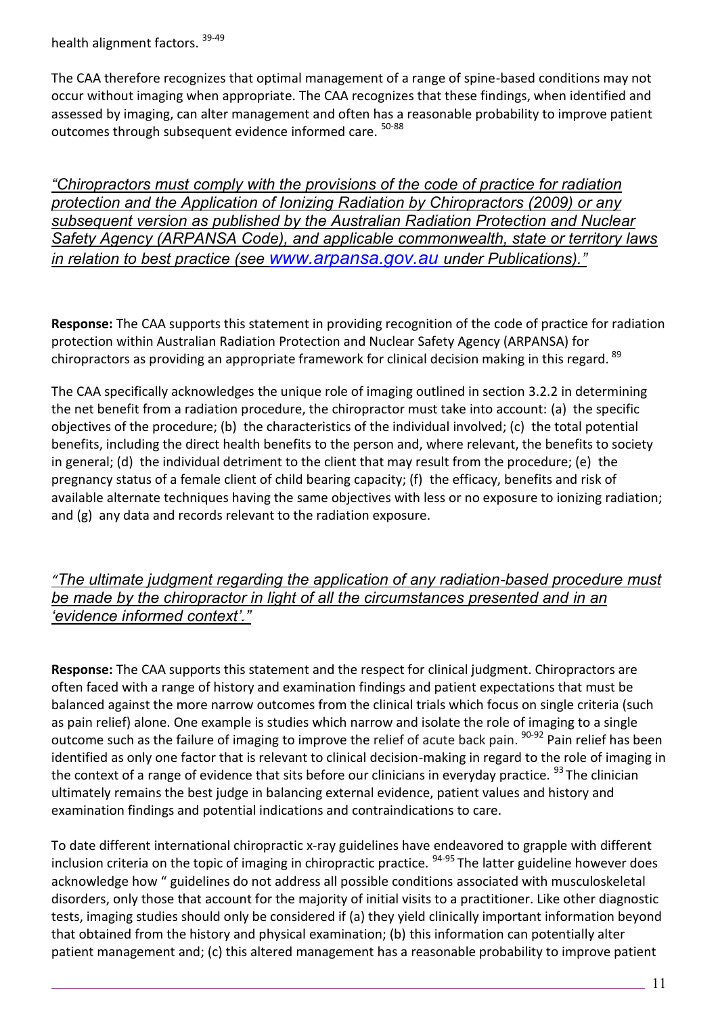health alignment factors. 39-49

The CAA therefore recognizes that optimal management of a range of spine-based conditions may not occur without imaging when appropriate. The CAA recognizes that these findings, when identified and assessed by imaging, can alter management and often has a reasonable probability to improve patient outcomes through subsequent evidence informed care. <sup>50-88</sup>

*"Chiropractors must comply with the provisions of the code of practice for radiation protection and the Application of Ionizing Radiation by Chiropractors (2009) or any subsequent version as published by the Australian Radiation Protection and Nuclear Safety Agency (ARPANSA Code), and applicable commonwealth, state or territory laws in relation to best practice (see www.arpansa.gov.au under Publications)."*

**Response:** The CAA supports this statement in providing recognition of the code of practice for radiation protection within Australian Radiation Protection and Nuclear Safety Agency (ARPANSA) for chiropractors as providing an appropriate framework for clinical decision making in this regard. <sup>89</sup>

The CAA specifically acknowledges the unique role of imaging outlined in section 3.2.2 in determining the net benefit from a radiation procedure, the chiropractor must take into account: (a) the specific objectives of the procedure; (b) the characteristics of the individual involved; (c) the total potential benefits, including the direct health benefits to the person and, where relevant, the benefits to society in general; (d) the individual detriment to the client that may result from the procedure; (e) the pregnancy status of a female client of child bearing capacity; (f) the efficacy, benefits and risk of available alternate techniques having the same objectives with less or no exposure to ionizing radiation; and (g) any data and records relevant to the radiation exposure.

## *"The ultimate judgment regarding the application of any radiation-based procedure must*  be made by the chiropractor in light of all the circumstances presented and in an *'evidence informed context'."*

**Response:** The CAA supports this statement and the respect for clinical judgment. Chiropractors are often faced with a range of history and examination findings and patient expectations that must be balanced against the more narrow outcomes from the clinical trials which focus on single criteria (such as pain relief) alone. One example is studies which narrow and isolate the role of imaging to a single outcome such as the failure of imaging to improve the relief of acute back pain. <sup>90-92</sup> Pain relief has been identified as only one factor that is relevant to clinical decision-making in regard to the role of imaging in the context of a range of evidence that sits before our clinicians in everyday practice.  $93$  The clinician ultimately remains the best judge in balancing external evidence, patient values and history and examination findings and potential indications and contraindications to care.

To date different international chiropractic x-ray guidelines have endeavored to grapple with different inclusion criteria on the topic of imaging in chiropractic practice. <sup>94-95</sup> The latter guideline however does acknowledge how " guidelines do not address all possible conditions associated with musculoskeletal disorders, only those that account for the majority of initial visits to a practitioner. Like other diagnostic tests, imaging studies should only be considered if (a) they yield clinically important information beyond that obtained from the history and physical examination; (b) this information can potentially alter patient management and; (c) this altered management has a reasonable probability to improve patient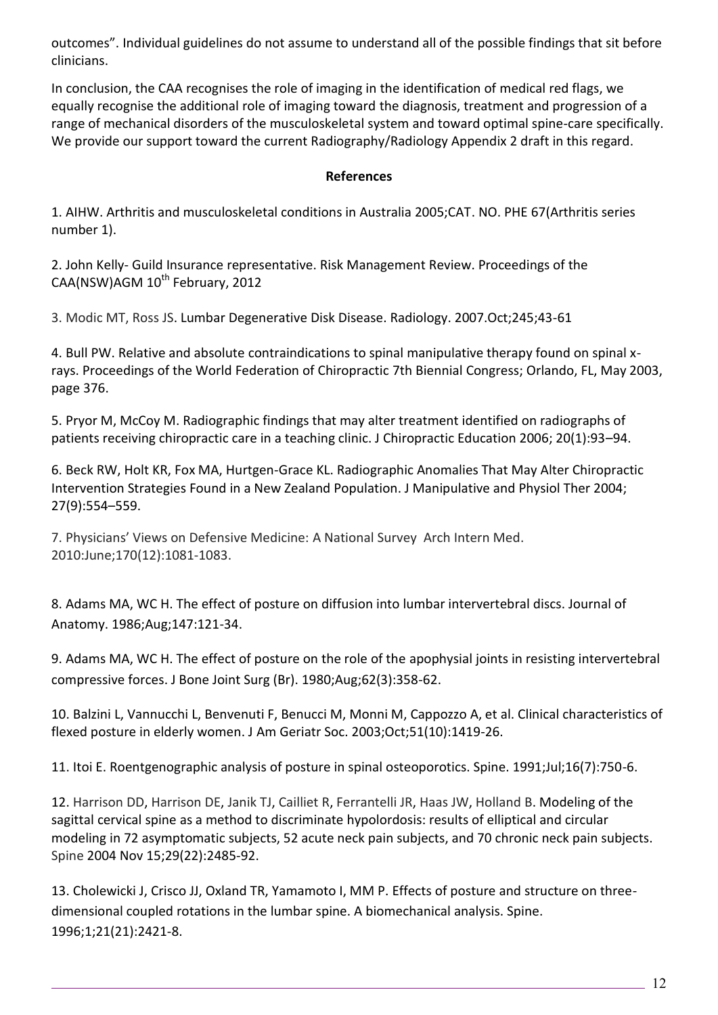outcomes". Individual guidelines do not assume to understand all of the possible findings that sit before clinicians.

In conclusion, the CAA recognises the role of imaging in the identification of medical red flags, we equally recognise the additional role of imaging toward the diagnosis, treatment and progression of a range of mechanical disorders of the musculoskeletal system and toward optimal spine-care specifically. We provide our support toward the current Radiography/Radiology Appendix 2 draft in this regard.

## **References**

1. AIHW. Arthritis and musculoskeletal conditions in Australia 2005;CAT. NO. PHE 67(Arthritis series number 1).

2. John Kelly- Guild Insurance representative. Risk Management Review. Proceedings of the CAA(NSW)AGM 10<sup>th</sup> February, 2012

3. Modic MT, Ross JS. Lumbar Degenerative Disk Disease. Radiology. 2007.Oct;245;43-61

4. Bull PW. Relative and absolute contraindications to spinal manipulative therapy found on spinal xrays. Proceedings of the World Federation of Chiropractic 7th Biennial Congress; Orlando, FL, May 2003, page 376.

5. Pryor M, McCoy M. Radiographic findings that may alter treatment identified on radiographs of patients receiving chiropractic care in a teaching clinic. J Chiropractic Education 2006; 20(1):93–94.

6. Beck RW, Holt KR, Fox MA, Hurtgen-Grace KL. Radiographic Anomalies That May Alter Chiropractic Intervention Strategies Found in a New Zealand Population. J Manipulative and Physiol Ther 2004; 27(9):554–559.

7. Physicians' Views on Defensive Medicine: A National Survey Arch Intern Med. 2010:June;170(12):1081-1083.

8. Adams MA, WC H. The effect of posture on diffusion into lumbar intervertebral discs. Journal of Anatomy. 1986;Aug;147:121-34.

9. Adams MA, WC H. The effect of posture on the role of the apophysial joints in resisting intervertebral compressive forces. J Bone Joint Surg (Br). 1980;Aug;62(3):358-62.

10. Balzini L, Vannucchi L, Benvenuti F, Benucci M, Monni M, Cappozzo A, et al. Clinical characteristics of flexed posture in elderly women. J Am Geriatr Soc. 2003;Oct;51(10):1419-26.

11. Itoi E. Roentgenographic analysis of posture in spinal osteoporotics. Spine. 1991;Jul;16(7):750-6.

12. Harrison DD, Harrison DE, Janik TJ, Cailliet R, Ferrantelli JR, Haas JW, Holland B. Modeling of the sagittal cervical spine as a method to discriminate hypolordosis: results of elliptical and circular modeling in 72 asymptomatic subjects, 52 acute neck pain subjects, and 70 chronic neck pain subjects. Spine 2004 Nov 15;29(22):2485-92.

13. Cholewicki J, Crisco JJ, Oxland TR, Yamamoto I, MM P. Effects of posture and structure on threedimensional coupled rotations in the lumbar spine. A biomechanical analysis. Spine. 1996;1;21(21):2421-8.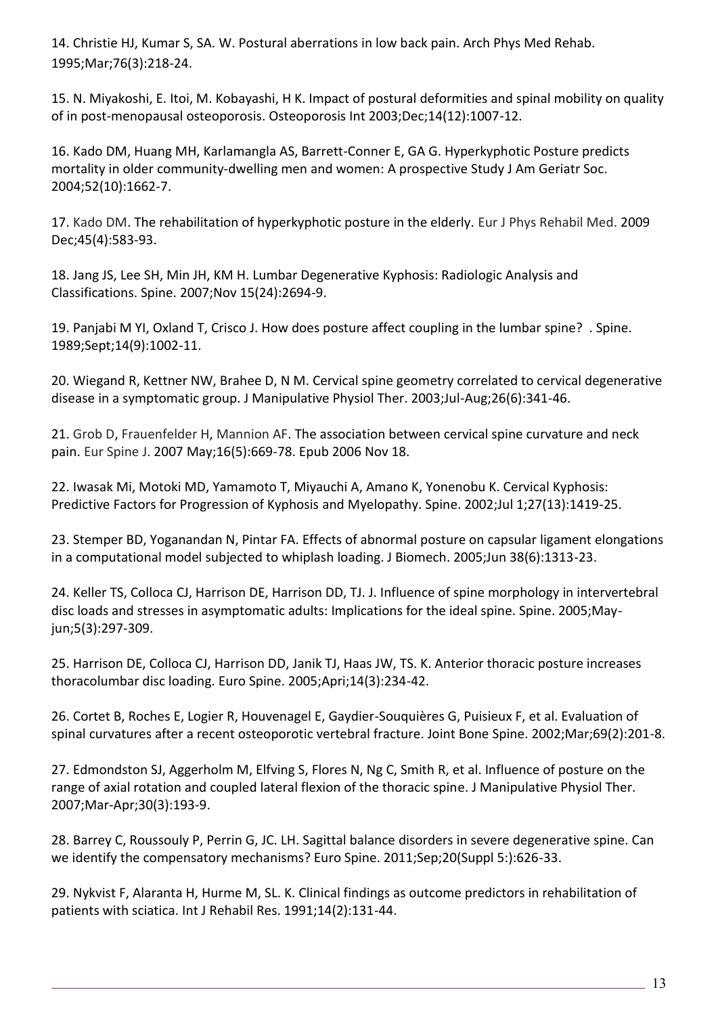14. Christie HJ, Kumar S, SA. W. Postural aberrations in low back pain. Arch Phys Med Rehab. 1995;Mar;76(3):218-24.

15. N. Miyakoshi, E. Itoi, M. Kobayashi, H K. Impact of postural deformities and spinal mobility on quality of in post-menopausal osteoporosis. Osteoporosis Int 2003;Dec;14(12):1007-12.

16. Kado DM, Huang MH, Karlamangla AS, Barrett-Conner E, GA G. Hyperkyphotic Posture predicts mortality in older community-dwelling men and women: A prospective Study J Am Geriatr Soc. 2004;52(10):1662-7.

17. Kado DM. The rehabilitation of hyperkyphotic posture in the elderly. Eur J Phys Rehabil Med. 2009 Dec;45(4):583-93.

18. Jang JS, Lee SH, Min JH, KM H. Lumbar Degenerative Kyphosis: Radiologic Analysis and Classifications. Spine. 2007;Nov 15(24):2694-9.

19. Panjabi M YI, Oxland T, Crisco J. How does posture affect coupling in the lumbar spine? . Spine. 1989;Sept;14(9):1002-11.

20. Wiegand R, Kettner NW, Brahee D, N M. Cervical spine geometry correlated to cervical degenerative disease in a symptomatic group. J Manipulative Physiol Ther. 2003;Jul-Aug;26(6):341-46.

21. Grob D, Frauenfelder H, Mannion AF. The association between cervical spine curvature and neck pain. Eur Spine J. 2007 May;16(5):669-78. Epub 2006 Nov 18.

22. Iwasak Mi, Motoki MD, Yamamoto T, Miyauchi A, Amano K, Yonenobu K. Cervical Kyphosis: Predictive Factors for Progression of Kyphosis and Myelopathy. Spine. 2002;Jul 1;27(13):1419-25.

23. Stemper BD, Yoganandan N, Pintar FA. Effects of abnormal posture on capsular ligament elongations in a computational model subjected to whiplash loading. J Biomech. 2005;Jun 38(6):1313-23.

24. Keller TS, Colloca CJ, Harrison DE, Harrison DD, TJ. J. Influence of spine morphology in intervertebral disc loads and stresses in asymptomatic adults: Implications for the ideal spine. Spine. 2005;Mayjun;5(3):297-309.

25. Harrison DE, Colloca CJ, Harrison DD, Janik TJ, Haas JW, TS. K. Anterior thoracic posture increases thoracolumbar disc loading. Euro Spine. 2005;Apri;14(3):234-42.

26. Cortet B, Roches E, Logier R, Houvenagel E, Gaydier-Souquières G, Puisieux F, et al. Evaluation of spinal curvatures after a recent osteoporotic vertebral fracture. Joint Bone Spine. 2002;Mar;69(2):201-8.

27. Edmondston SJ, Aggerholm M, Elfving S, Flores N, Ng C, Smith R, et al. Influence of posture on the range of axial rotation and coupled lateral flexion of the thoracic spine. J Manipulative Physiol Ther. 2007;Mar-Apr;30(3):193-9.

28. Barrey C, Roussouly P, Perrin G, JC. LH. Sagittal balance disorders in severe degenerative spine. Can we identify the compensatory mechanisms? Euro Spine. 2011;Sep;20(Suppl 5:):626-33.

29. Nykvist F, Alaranta H, Hurme M, SL. K. Clinical findings as outcome predictors in rehabilitation of patients with sciatica. Int J Rehabil Res. 1991;14(2):131-44.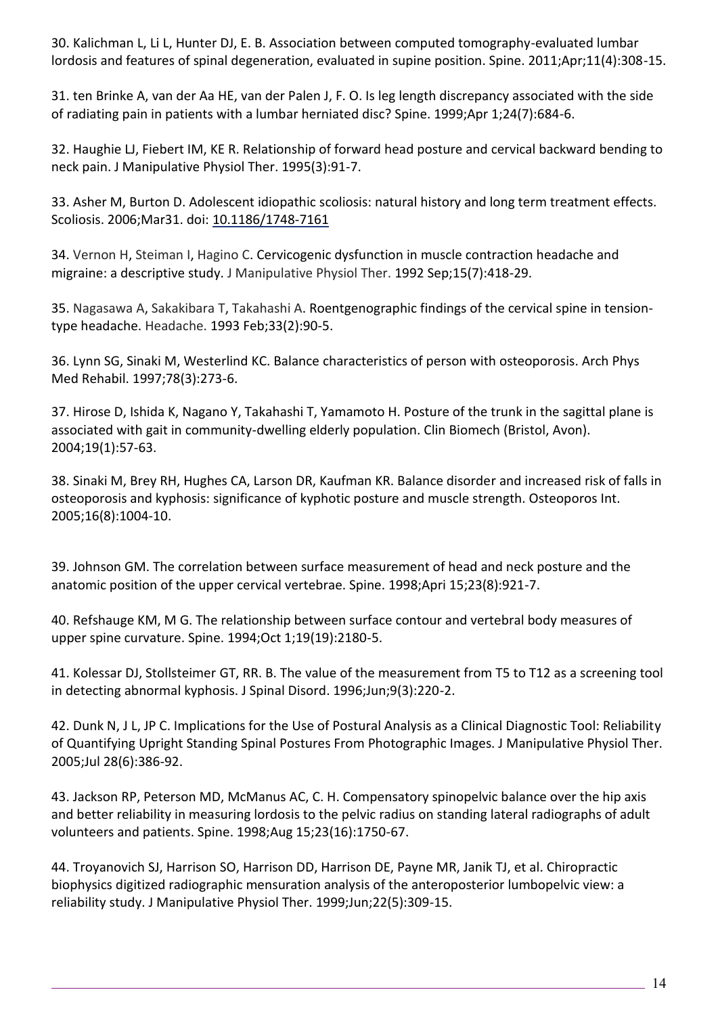30. Kalichman L, Li L, Hunter DJ, E. B. Association between computed tomography-evaluated lumbar lordosis and features of spinal degeneration, evaluated in supine position. Spine. 2011;Apr;11(4):308-15.

31. ten Brinke A, van der Aa HE, van der Palen J, F. O. Is leg length discrepancy associated with the side of radiating pain in patients with a lumbar herniated disc? Spine. 1999;Apr 1;24(7):684-6.

32. Haughie LJ, Fiebert IM, KE R. Relationship of forward head posture and cervical backward bending to neck pain. J Manipulative Physiol Ther. 1995(3):91-7.

33. Asher M, Burton D. Adolescent idiopathic scoliosis: natural history and long term treatment effects. Scoliosis. 2006;Mar31. doi: 10.1186/1748-7161

34. Vernon H, Steiman I, Hagino C. Cervicogenic dysfunction in muscle contraction headache and migraine: a descriptive study. J Manipulative Physiol Ther. 1992 Sep;15(7):418-29.

35. Nagasawa A, Sakakibara T, Takahashi A. Roentgenographic findings of the cervical spine in tensiontype headache. Headache. 1993 Feb;33(2):90-5.

36. Lynn SG, Sinaki M, Westerlind KC. Balance characteristics of person with osteoporosis. Arch Phys Med Rehabil. 1997;78(3):273-6.

37. Hirose D, Ishida K, Nagano Y, Takahashi T, Yamamoto H. Posture of the trunk in the sagittal plane is associated with gait in community-dwelling elderly population. Clin Biomech (Bristol, Avon). 2004;19(1):57-63.

38. Sinaki M, Brey RH, Hughes CA, Larson DR, Kaufman KR. Balance disorder and increased risk of falls in osteoporosis and kyphosis: significance of kyphotic posture and muscle strength. Osteoporos Int. 2005;16(8):1004-10.

39. Johnson GM. The correlation between surface measurement of head and neck posture and the anatomic position of the upper cervical vertebrae. Spine. 1998;Apri 15;23(8):921-7.

40. Refshauge KM, M G. The relationship between surface contour and vertebral body measures of upper spine curvature. Spine. 1994;Oct 1;19(19):2180-5.

41. Kolessar DJ, Stollsteimer GT, RR. B. The value of the measurement from T5 to T12 as a screening tool in detecting abnormal kyphosis. J Spinal Disord. 1996;Jun;9(3):220-2.

42. Dunk N, J L, JP C. Implications for the Use of Postural Analysis as a Clinical Diagnostic Tool: Reliability of Quantifying Upright Standing Spinal Postures From Photographic Images. J Manipulative Physiol Ther. 2005;Jul 28(6):386-92.

43. Jackson RP, Peterson MD, McManus AC, C. H. Compensatory spinopelvic balance over the hip axis and better reliability in measuring lordosis to the pelvic radius on standing lateral radiographs of adult volunteers and patients. Spine. 1998;Aug 15;23(16):1750-67.

44. Troyanovich SJ, Harrison SO, Harrison DD, Harrison DE, Payne MR, Janik TJ, et al. Chiropractic biophysics digitized radiographic mensuration analysis of the anteroposterior lumbopelvic view: a reliability study. J Manipulative Physiol Ther. 1999;Jun;22(5):309-15.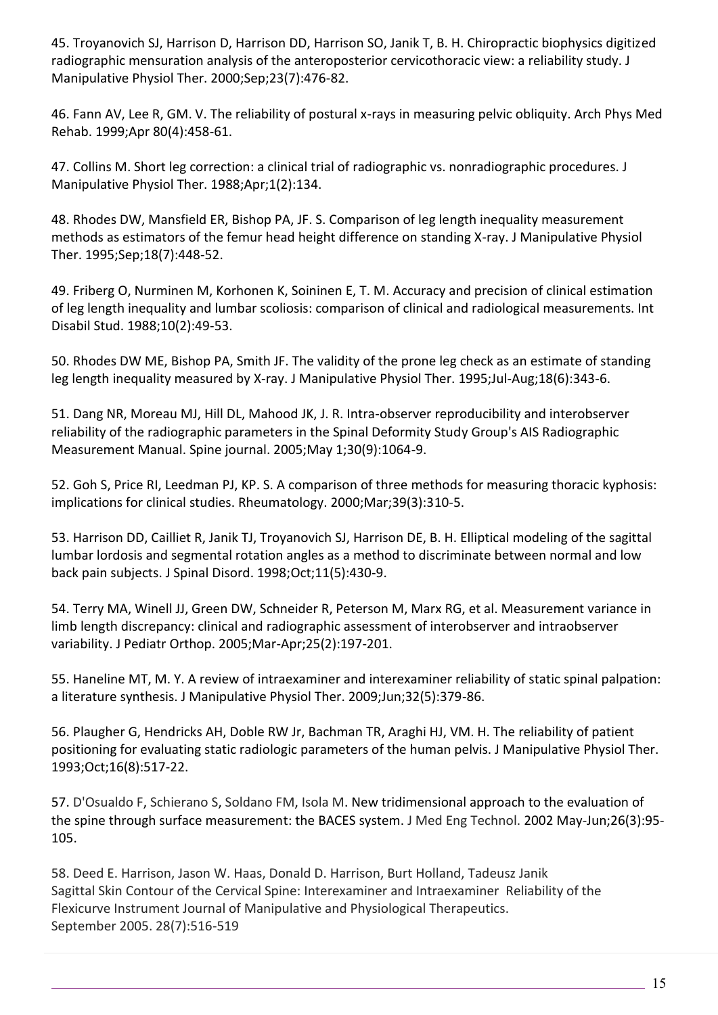45. Troyanovich SJ, Harrison D, Harrison DD, Harrison SO, Janik T, B. H. Chiropractic biophysics digitized radiographic mensuration analysis of the anteroposterior cervicothoracic view: a reliability study. J Manipulative Physiol Ther. 2000;Sep;23(7):476-82.

46. Fann AV, Lee R, GM. V. The reliability of postural x-rays in measuring pelvic obliquity. Arch Phys Med Rehab. 1999;Apr 80(4):458-61.

47. Collins M. Short leg correction: a clinical trial of radiographic vs. nonradiographic procedures. J Manipulative Physiol Ther. 1988;Apr;1(2):134.

48. Rhodes DW, Mansfield ER, Bishop PA, JF. S. Comparison of leg length inequality measurement methods as estimators of the femur head height difference on standing X-ray. J Manipulative Physiol Ther. 1995;Sep;18(7):448-52.

49. Friberg O, Nurminen M, Korhonen K, Soininen E, T. M. Accuracy and precision of clinical estimation of leg length inequality and lumbar scoliosis: comparison of clinical and radiological measurements. Int Disabil Stud. 1988;10(2):49-53.

50. Rhodes DW ME, Bishop PA, Smith JF. The validity of the prone leg check as an estimate of standing leg length inequality measured by X-ray. J Manipulative Physiol Ther. 1995;Jul-Aug;18(6):343-6.

51. Dang NR, Moreau MJ, Hill DL, Mahood JK, J. R. Intra-observer reproducibility and interobserver reliability of the radiographic parameters in the Spinal Deformity Study Group's AIS Radiographic Measurement Manual. Spine journal. 2005;May 1;30(9):1064-9.

52. Goh S, Price RI, Leedman PJ, KP. S. A comparison of three methods for measuring thoracic kyphosis: implications for clinical studies. Rheumatology. 2000;Mar;39(3):310-5.

53. Harrison DD, Cailliet R, Janik TJ, Troyanovich SJ, Harrison DE, B. H. Elliptical modeling of the sagittal lumbar lordosis and segmental rotation angles as a method to discriminate between normal and low back pain subjects. J Spinal Disord. 1998;Oct;11(5):430-9.

54. Terry MA, Winell JJ, Green DW, Schneider R, Peterson M, Marx RG, et al. Measurement variance in limb length discrepancy: clinical and radiographic assessment of interobserver and intraobserver variability. J Pediatr Orthop. 2005;Mar-Apr;25(2):197-201.

55. Haneline MT, M. Y. A review of intraexaminer and interexaminer reliability of static spinal palpation: a literature synthesis. J Manipulative Physiol Ther. 2009;Jun;32(5):379-86.

56. Plaugher G, Hendricks AH, Doble RW Jr, Bachman TR, Araghi HJ, VM. H. The reliability of patient positioning for evaluating static radiologic parameters of the human pelvis. J Manipulative Physiol Ther. 1993;Oct;16(8):517-22.

57. D'Osualdo F, Schierano S, Soldano FM, Isola M. New tridimensional approach to the evaluation of the spine through surface measurement: the BACES system. J Med Eng Technol. 2002 May-Jun;26(3):95- 105.

58. Deed E. Harrison, Jason W. Haas, Donald D. Harrison, Burt Holland, Tadeusz Janik Sagittal Skin Contour of the Cervical Spine: Interexaminer and Intraexaminer Reliability of the Flexicurve Instrument Journal of Manipulative and Physiological Therapeutics. September 2005. 28(7):516-519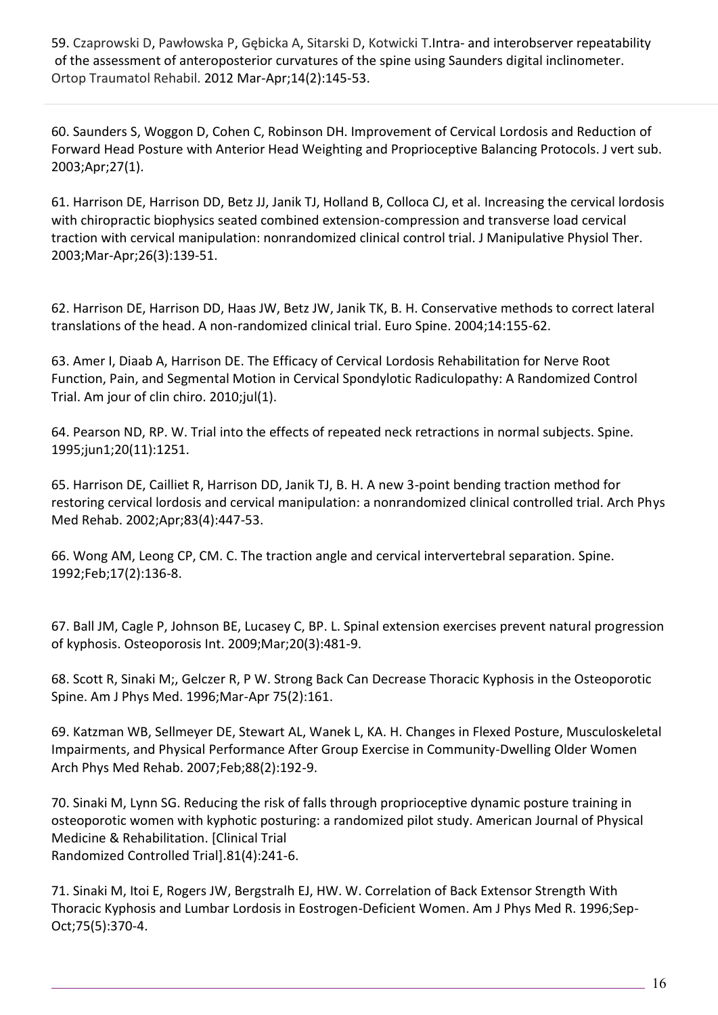59. Czaprowski D, Pawłowska P, Gębicka A, Sitarski D, Kotwicki T.Intra- and interobserver repeatability of the assessment of anteroposterior curvatures of the spine using Saunders digital inclinometer. Ortop Traumatol Rehabil. 2012 Mar-Apr;14(2):145-53.

60. Saunders S, Woggon D, Cohen C, Robinson DH. Improvement of Cervical Lordosis and Reduction of Forward Head Posture with Anterior Head Weighting and Proprioceptive Balancing Protocols. J vert sub. 2003;Apr;27(1).

61. Harrison DE, Harrison DD, Betz JJ, Janik TJ, Holland B, Colloca CJ, et al. Increasing the cervical lordosis with chiropractic biophysics seated combined extension-compression and transverse load cervical traction with cervical manipulation: nonrandomized clinical control trial. J Manipulative Physiol Ther. 2003;Mar-Apr;26(3):139-51.

62. Harrison DE, Harrison DD, Haas JW, Betz JW, Janik TK, B. H. Conservative methods to correct lateral translations of the head. A non-randomized clinical trial. Euro Spine. 2004;14:155-62.

63. Amer I, Diaab A, Harrison DE. The Efficacy of Cervical Lordosis Rehabilitation for Nerve Root Function, Pain, and Segmental Motion in Cervical Spondylotic Radiculopathy: A Randomized Control Trial. Am jour of clin chiro. 2010;jul(1).

64. Pearson ND, RP. W. Trial into the effects of repeated neck retractions in normal subjects. Spine. 1995;jun1;20(11):1251.

65. Harrison DE, Cailliet R, Harrison DD, Janik TJ, B. H. A new 3-point bending traction method for restoring cervical lordosis and cervical manipulation: a nonrandomized clinical controlled trial. Arch Phys Med Rehab. 2002;Apr;83(4):447-53.

66. Wong AM, Leong CP, CM. C. The traction angle and cervical intervertebral separation. Spine. 1992;Feb;17(2):136-8.

67. Ball JM, Cagle P, Johnson BE, Lucasey C, BP. L. Spinal extension exercises prevent natural progression of kyphosis. Osteoporosis Int. 2009;Mar;20(3):481-9.

68. Scott R, Sinaki M;, Gelczer R, P W. Strong Back Can Decrease Thoracic Kyphosis in the Osteoporotic Spine. Am J Phys Med. 1996;Mar-Apr 75(2):161.

69. Katzman WB, Sellmeyer DE, Stewart AL, Wanek L, KA. H. Changes in Flexed Posture, Musculoskeletal Impairments, and Physical Performance After Group Exercise in Community-Dwelling Older Women Arch Phys Med Rehab. 2007;Feb;88(2):192-9.

70. Sinaki M, Lynn SG. Reducing the risk of falls through proprioceptive dynamic posture training in osteoporotic women with kyphotic posturing: a randomized pilot study. American Journal of Physical Medicine & Rehabilitation. [Clinical Trial Randomized Controlled Trial].81(4):241-6.

71. Sinaki M, Itoi E, Rogers JW, Bergstralh EJ, HW. W. Correlation of Back Extensor Strength With Thoracic Kyphosis and Lumbar Lordosis in Eostrogen-Deficient Women. Am J Phys Med R. 1996;Sep-Oct;75(5):370-4.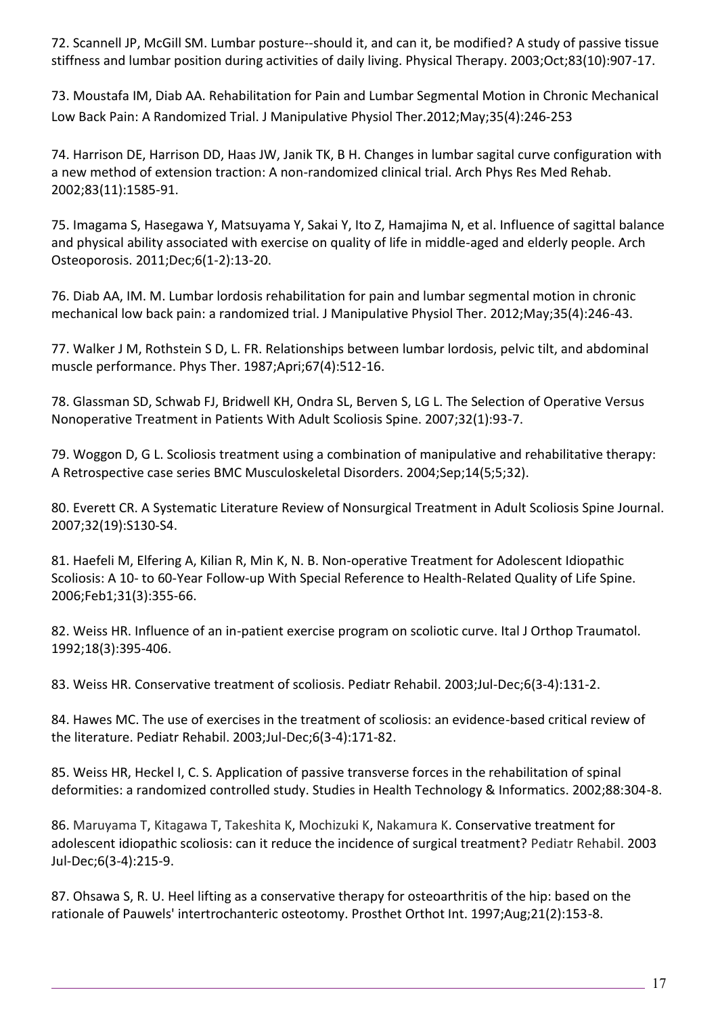72. Scannell JP, McGill SM. Lumbar posture--should it, and can it, be modified? A study of passive tissue stiffness and lumbar position during activities of daily living. Physical Therapy. 2003;Oct;83(10):907-17.

73. Moustafa IM, Diab AA. Rehabilitation for Pain and Lumbar Segmental Motion in Chronic Mechanical Low Back Pain: A Randomized Trial. J Manipulative Physiol Ther.2012;May;35(4):246-253

74. Harrison DE, Harrison DD, Haas JW, Janik TK, B H. Changes in lumbar sagital curve configuration with a new method of extension traction: A non-randomized clinical trial. Arch Phys Res Med Rehab. 2002;83(11):1585-91.

75. Imagama S, Hasegawa Y, Matsuyama Y, Sakai Y, Ito Z, Hamajima N, et al. Influence of sagittal balance and physical ability associated with exercise on quality of life in middle-aged and elderly people. Arch Osteoporosis. 2011;Dec;6(1-2):13-20.

76. Diab AA, IM. M. Lumbar lordosis rehabilitation for pain and lumbar segmental motion in chronic mechanical low back pain: a randomized trial. J Manipulative Physiol Ther. 2012;May;35(4):246-43.

77. Walker J M, Rothstein S D, L. FR. Relationships between lumbar lordosis, pelvic tilt, and abdominal muscle performance. Phys Ther. 1987;Apri;67(4):512-16.

78. Glassman SD, Schwab FJ, Bridwell KH, Ondra SL, Berven S, LG L. The Selection of Operative Versus Nonoperative Treatment in Patients With Adult Scoliosis Spine. 2007;32(1):93-7.

79. Woggon D, G L. Scoliosis treatment using a combination of manipulative and rehabilitative therapy: A Retrospective case series BMC Musculoskeletal Disorders. 2004;Sep;14(5;5;32).

80. Everett CR. A Systematic Literature Review of Nonsurgical Treatment in Adult Scoliosis Spine Journal. 2007;32(19):S130-S4.

81. Haefeli M, Elfering A, Kilian R, Min K, N. B. Non-operative Treatment for Adolescent Idiopathic Scoliosis: A 10- to 60-Year Follow-up With Special Reference to Health-Related Quality of Life Spine. 2006;Feb1;31(3):355-66.

82. Weiss HR. Influence of an in-patient exercise program on scoliotic curve. Ital J Orthop Traumatol. 1992;18(3):395-406.

83. Weiss HR. Conservative treatment of scoliosis. Pediatr Rehabil. 2003;Jul-Dec;6(3-4):131-2.

84. Hawes MC. The use of exercises in the treatment of scoliosis: an evidence-based critical review of the literature. Pediatr Rehabil. 2003;Jul-Dec;6(3-4):171-82.

85. Weiss HR, Heckel I, C. S. Application of passive transverse forces in the rehabilitation of spinal deformities: a randomized controlled study. Studies in Health Technology & Informatics. 2002;88:304-8.

86. Maruyama T, Kitagawa T, Takeshita K, Mochizuki K, Nakamura K. Conservative treatment for adolescent idiopathic scoliosis: can it reduce the incidence of surgical treatment? Pediatr Rehabil. 2003 Jul-Dec;6(3-4):215-9.

87. Ohsawa S, R. U. Heel lifting as a conservative therapy for osteoarthritis of the hip: based on the rationale of Pauwels' intertrochanteric osteotomy. Prosthet Orthot Int. 1997;Aug;21(2):153-8.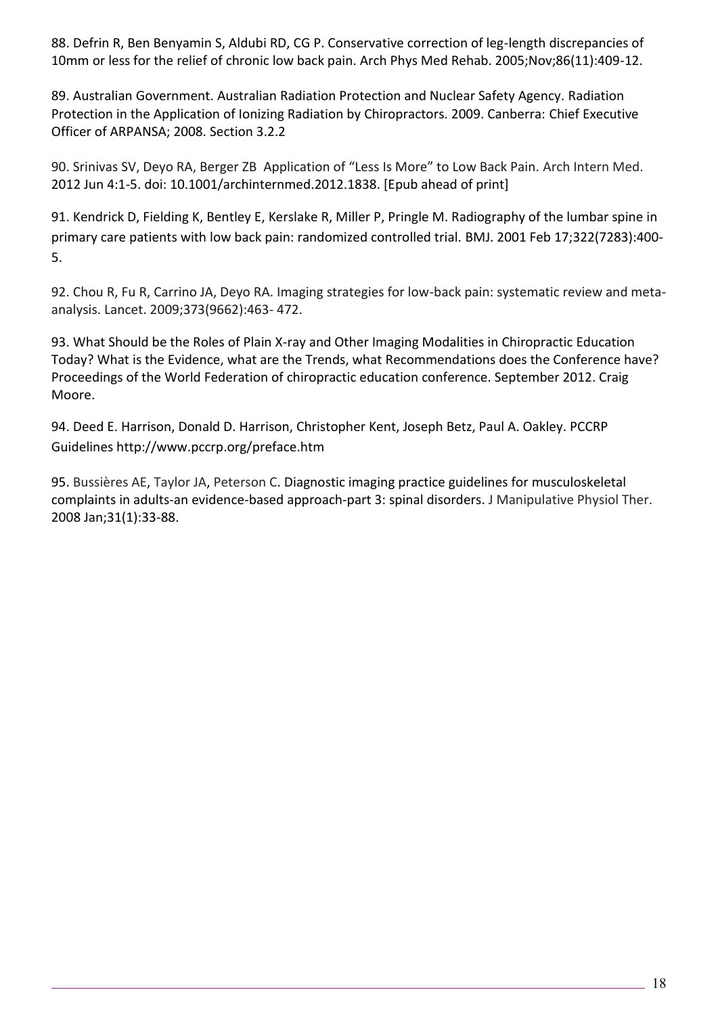88. Defrin R, Ben Benyamin S, Aldubi RD, CG P. Conservative correction of leg-length discrepancies of 10mm or less for the relief of chronic low back pain. Arch Phys Med Rehab. 2005;Nov;86(11):409-12.

89. Australian Government. Australian Radiation Protection and Nuclear Safety Agency. Radiation Protection in the Application of Ionizing Radiation by Chiropractors. 2009. Canberra: Chief Executive Officer of ARPANSA; 2008. Section 3.2.2

90. Srinivas SV, Deyo RA, Berger ZB Application of "Less Is More" to Low Back Pain. Arch Intern Med. 2012 Jun 4:1-5. doi: 10.1001/archinternmed.2012.1838. [Epub ahead of print]

91. Kendrick D, Fielding K, Bentley E, Kerslake R, Miller P, Pringle M. Radiography of the lumbar spine in primary care patients with low back pain: randomized controlled trial. BMJ. 2001 Feb 17;322(7283):400- 5.

92. Chou R, Fu R, Carrino JA, Deyo RA. Imaging strategies for low-back pain: systematic review and metaanalysis. Lancet. 2009;373(9662):463- 472.

93. What Should be the Roles of Plain X-ray and Other Imaging Modalities in Chiropractic Education Today? What is the Evidence, what are the Trends, what Recommendations does the Conference have? Proceedings of the World Federation of chiropractic education conference. September 2012. Craig Moore.

94. Deed E. Harrison, Donald D. Harrison, Christopher Kent, Joseph Betz, Paul A. Oakley. PCCRP Guidelines http://www.pccrp.org/preface.htm

95. Bussières AE, Taylor JA, Peterson C. Diagnostic imaging practice guidelines for musculoskeletal complaints in adults-an evidence-based approach-part 3: spinal disorders. J Manipulative Physiol Ther. 2008 Jan;31(1):33-88.